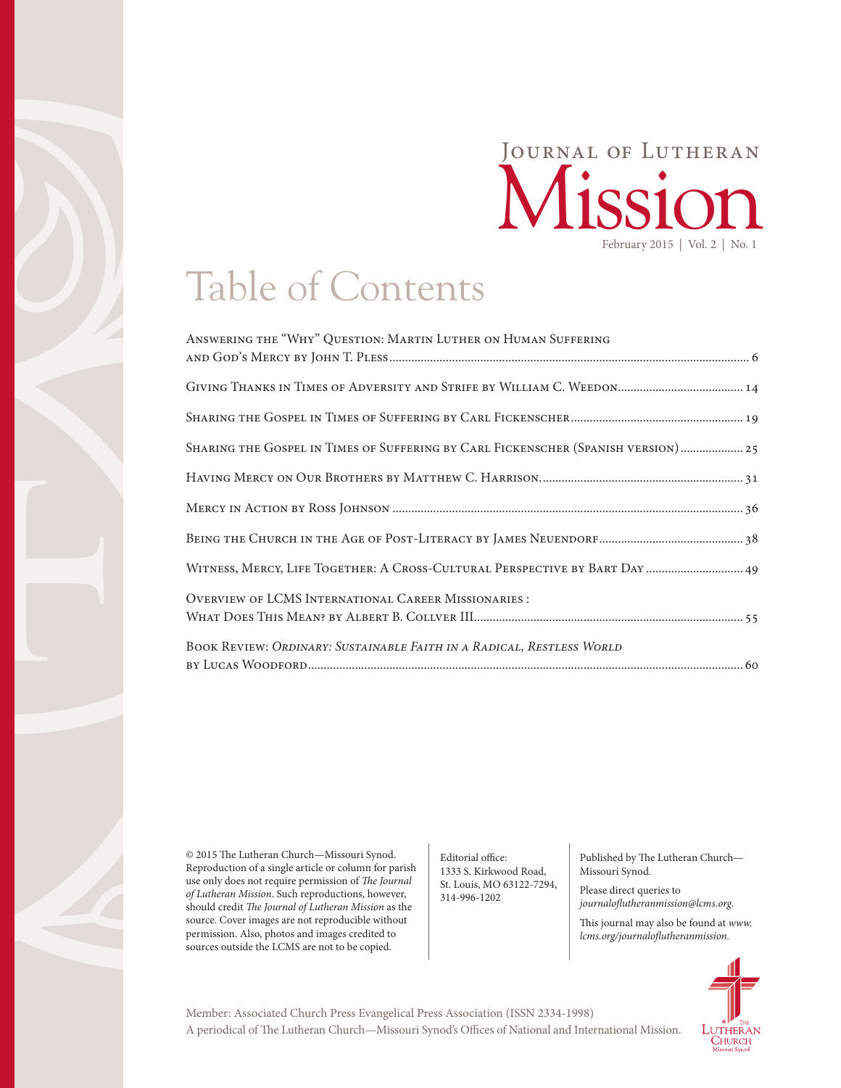

## Table of Contents

| ANSWERING THE "WHY" QUESTION: MARTIN LUTHER ON HUMAN SUFFERING                    |
|-----------------------------------------------------------------------------------|
|                                                                                   |
|                                                                                   |
| SHARING THE GOSPEL IN TIMES OF SUFFERING BY CARL FICKENSCHER (SPANISH VERSION) 25 |
|                                                                                   |
|                                                                                   |
|                                                                                   |
| WITNESS, MERCY, LIFE TOGETHER: A CROSS-CULTURAL PERSPECTIVE BY BART DAY  49       |
| OVERVIEW OF LCMS INTERNATIONAL CAREER MISSIONARIES :                              |
| BOOK REVIEW: ORDINARY: SUSTAINABLE FAITH IN A RADICAL, RESTLESS WORLD             |

© 2015 The Lutheran Church—Missouri Synod. Reproduction of a single article or column for parish use only does not require permission of *The Journal of Lutheran Mission*. Such reproductions, however, should credit *The Journal of Lutheran Mission* as the source. Cover images are not reproducible without permission. Also, photos and images credited to sources outside the LCMS are not to be copied.

Editorial office: 1333 S. Kirkwood Road, St. Louis, MO 63122-7294, 314-996-1202

Published by The Lutheran Church— Missouri Synod.

Please direct queries to *journaloflutheranmission@lcms.org.*

This journal may also be found at *[www.](http://www.lcms.org/journalofluthermission) [lcms.org/journaloflutheranmission](http://www.lcms.org/journalofluthermission).*



A periodical of The Lutheran Church—Missouri Synod's Offices of National and International Mission. Member: Associated Church Press Evangelical Press Association (ISSN 2334-1998)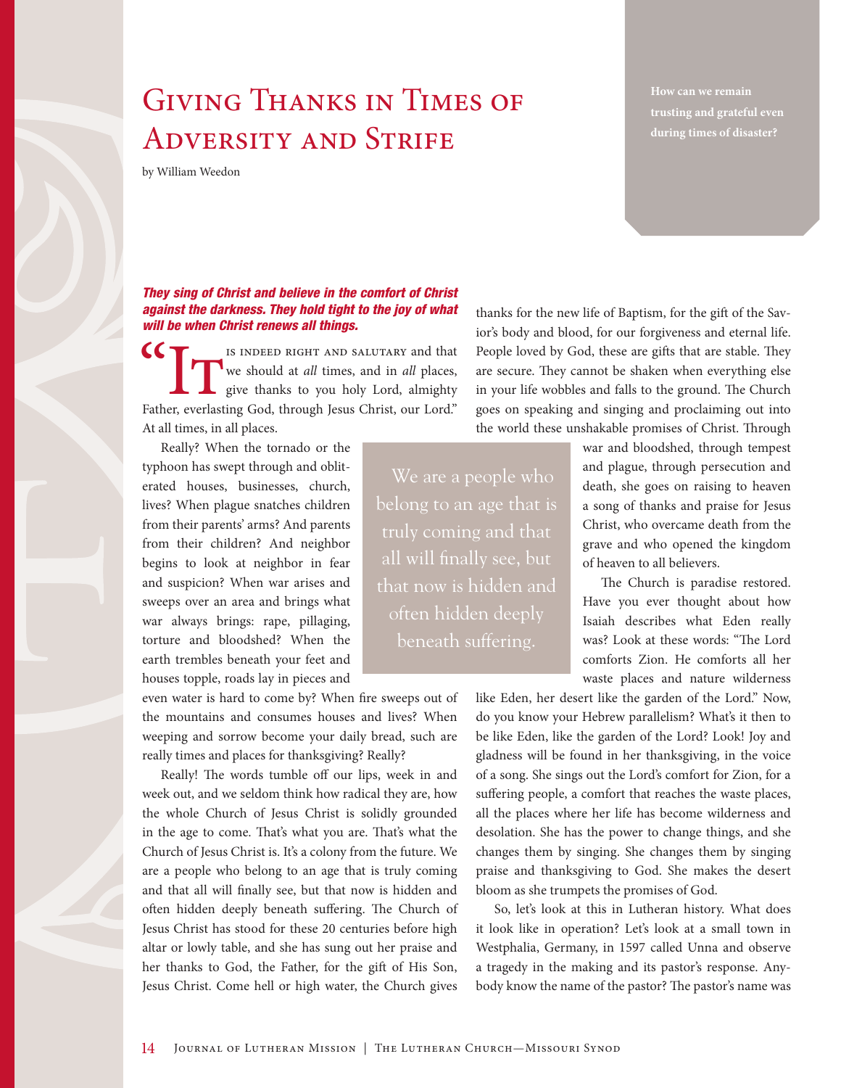## Giving Thanks in Times of Adversity and Strife

by William Weedon

## *They sing of Christ and believe in the comfort of Christ against the darkness. They hold tight to the joy of what will be when Christ renews all things.*

SCOM IS INDEED RIGHT AND SALUTARY and that we should at *all* times, and in *all* places, give thanks to you holy Lord, almighty Father, everlasting God, through Jesus Christ, our Lord." is indeed right and salutary and that we should at *all* times, and in *all* places, give thanks to you holy Lord, almighty At all times, in all places.

Really? When the tornado or the typhoon has swept through and obliterated houses, businesses, church, lives? When plague snatches children from their parents' arms? And parents from their children? And neighbor begins to look at neighbor in fear and suspicion? When war arises and sweeps over an area and brings what war always brings: rape, pillaging, torture and bloodshed? When the earth trembles beneath your feet and houses topple, roads lay in pieces and

even water is hard to come by? When fire sweeps out of the mountains and consumes houses and lives? When weeping and sorrow become your daily bread, such are really times and places for thanksgiving? Really?

Really! The words tumble off our lips, week in and week out, and we seldom think how radical they are, how the whole Church of Jesus Christ is solidly grounded in the age to come. That's what you are. That's what the Church of Jesus Christ is. It's a colony from the future. We are a people who belong to an age that is truly coming and that all will finally see, but that now is hidden and often hidden deeply beneath suffering. The Church of Jesus Christ has stood for these 20 centuries before high altar or lowly table, and she has sung out her praise and her thanks to God, the Father, for the gift of His Son, Jesus Christ. Come hell or high water, the Church gives thanks for the new life of Baptism, for the gift of the Savior's body and blood, for our forgiveness and eternal life. People loved by God, these are gifts that are stable. They are secure. They cannot be shaken when everything else in your life wobbles and falls to the ground. The Church goes on speaking and singing and proclaiming out into the world these unshakable promises of Christ. Through

We are a people who belong to an age that is all will finally see, but that now is hidden and often hidden deeply beneath suffering.

war and bloodshed, through tempest and plague, through persecution and death, she goes on raising to heaven a song of thanks and praise for Jesus Christ, who overcame death from the grave and who opened the kingdom of heaven to all believers.

The Church is paradise restored. Have you ever thought about how Isaiah describes what Eden really was? Look at these words: "The Lord comforts Zion. He comforts all her waste places and nature wilderness

like Eden, her desert like the garden of the Lord." Now, do you know your Hebrew parallelism? What's it then to be like Eden, like the garden of the Lord? Look! Joy and gladness will be found in her thanksgiving, in the voice of a song. She sings out the Lord's comfort for Zion, for a suffering people, a comfort that reaches the waste places, all the places where her life has become wilderness and desolation. She has the power to change things, and she changes them by singing. She changes them by singing praise and thanksgiving to God. She makes the desert bloom as she trumpets the promises of God.

So, let's look at this in Lutheran history. What does it look like in operation? Let's look at a small town in Westphalia, Germany, in 1597 called Unna and observe a tragedy in the making and its pastor's response. Anybody know the name of the pastor? The pastor's name was

**trusting and grateful even during times of disaster?**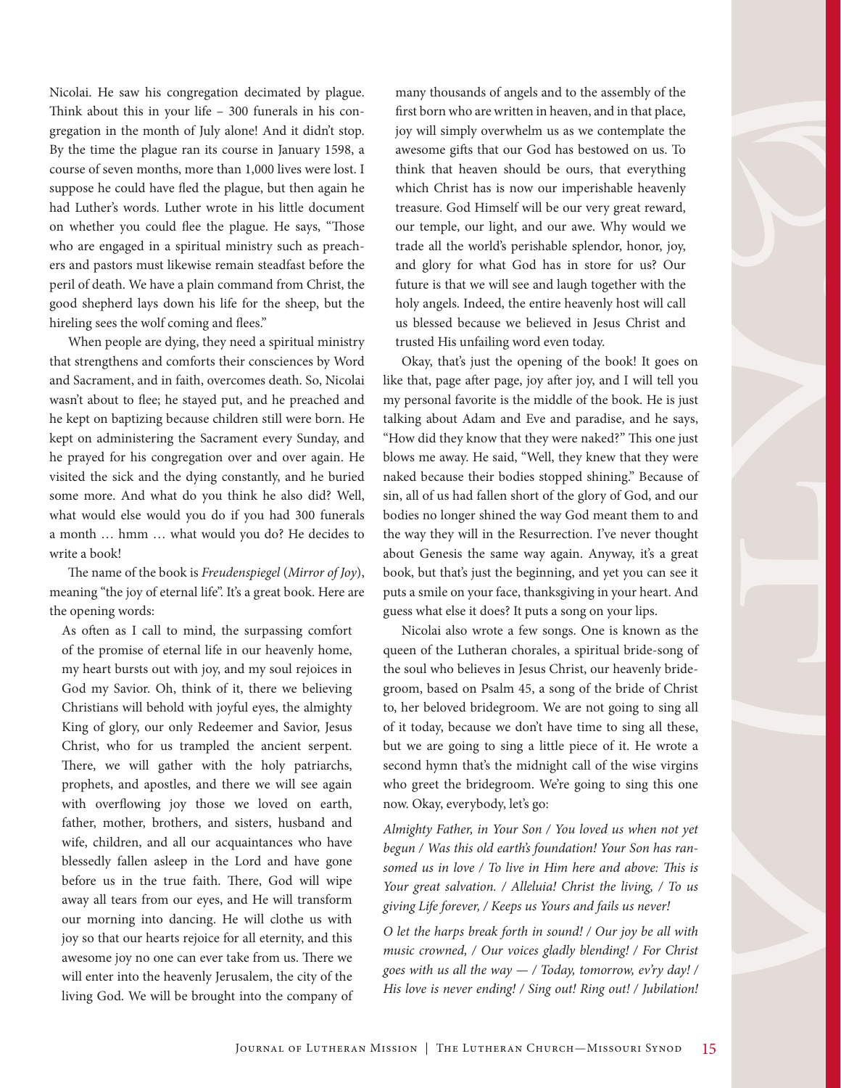Nicolai. He saw his congregation decimated by plague. Think about this in your life – 300 funerals in his congregation in the month of July alone! And it didn't stop. By the time the plague ran its course in January 1598, a course of seven months, more than 1,000 lives were lost. I suppose he could have fled the plague, but then again he had Luther's words. Luther wrote in his little document on whether you could flee the plague. He says, "Those who are engaged in a spiritual ministry such as preachers and pastors must likewise remain steadfast before the peril of death. We have a plain command from Christ, the good shepherd lays down his life for the sheep, but the hireling sees the wolf coming and flees."

When people are dying, they need a spiritual ministry that strengthens and comforts their consciences by Word and Sacrament, and in faith, overcomes death. So, Nicolai wasn't about to flee; he stayed put, and he preached and he kept on baptizing because children still were born. He kept on administering the Sacrament every Sunday, and he prayed for his congregation over and over again. He visited the sick and the dying constantly, and he buried some more. And what do you think he also did? Well, what would else would you do if you had 300 funerals a month … hmm … what would you do? He decides to write a book!

The name of the book is *Freudenspiegel* (*Mirror of Joy*), meaning "the joy of eternal life". It's a great book. Here are the opening words:

As often as I call to mind, the surpassing comfort of the promise of eternal life in our heavenly home, my heart bursts out with joy, and my soul rejoices in God my Savior. Oh, think of it, there we believing Christians will behold with joyful eyes, the almighty King of glory, our only Redeemer and Savior, Jesus Christ, who for us trampled the ancient serpent. There, we will gather with the holy patriarchs, prophets, and apostles, and there we will see again with overflowing joy those we loved on earth, father, mother, brothers, and sisters, husband and wife, children, and all our acquaintances who have blessedly fallen asleep in the Lord and have gone before us in the true faith. There, God will wipe away all tears from our eyes, and He will transform our morning into dancing. He will clothe us with joy so that our hearts rejoice for all eternity, and this awesome joy no one can ever take from us. There we will enter into the heavenly Jerusalem, the city of the living God. We will be brought into the company of

many thousands of angels and to the assembly of the first born who are written in heaven, and in that place, joy will simply overwhelm us as we contemplate the awesome gifts that our God has bestowed on us. To think that heaven should be ours, that everything which Christ has is now our imperishable heavenly treasure. God Himself will be our very great reward, our temple, our light, and our awe. Why would we trade all the world's perishable splendor, honor, joy, and glory for what God has in store for us? Our future is that we will see and laugh together with the holy angels. Indeed, the entire heavenly host will call us blessed because we believed in Jesus Christ and trusted His unfailing word even today.

Okay, that's just the opening of the book! It goes on like that, page after page, joy after joy, and I will tell you my personal favorite is the middle of the book. He is just talking about Adam and Eve and paradise, and he says, "How did they know that they were naked?" This one just blows me away. He said, "Well, they knew that they were naked because their bodies stopped shining." Because of sin, all of us had fallen short of the glory of God, and our bodies no longer shined the way God meant them to and the way they will in the Resurrection. I've never thought about Genesis the same way again. Anyway, it's a great book, but that's just the beginning, and yet you can see it puts a smile on your face, thanksgiving in your heart. And guess what else it does? It puts a song on your lips.

Nicolai also wrote a few songs. One is known as the queen of the Lutheran chorales, a spiritual bride-song of the soul who believes in Jesus Christ, our heavenly bridegroom, based on Psalm 45, a song of the bride of Christ to, her beloved bridegroom. We are not going to sing all of it today, because we don't have time to sing all these, but we are going to sing a little piece of it. He wrote a second hymn that's the midnight call of the wise virgins who greet the bridegroom. We're going to sing this one now. Okay, everybody, let's go:

*Almighty Father, in Your Son / You loved us when not yet begun / Was this old earth's foundation! Your Son has ransomed us in love / To live in Him here and above: This is Your great salvation. / Alleluia! Christ the living, / To us giving Life forever, / Keeps us Yours and fails us never!* 

*O let the harps break forth in sound! / Our joy be all with music crowned, / Our voices gladly blending! / For Christ goes with us all the way — / Today, tomorrow, ev'ry day! / His love is never ending! / Sing out! Ring out! / Jubilation!*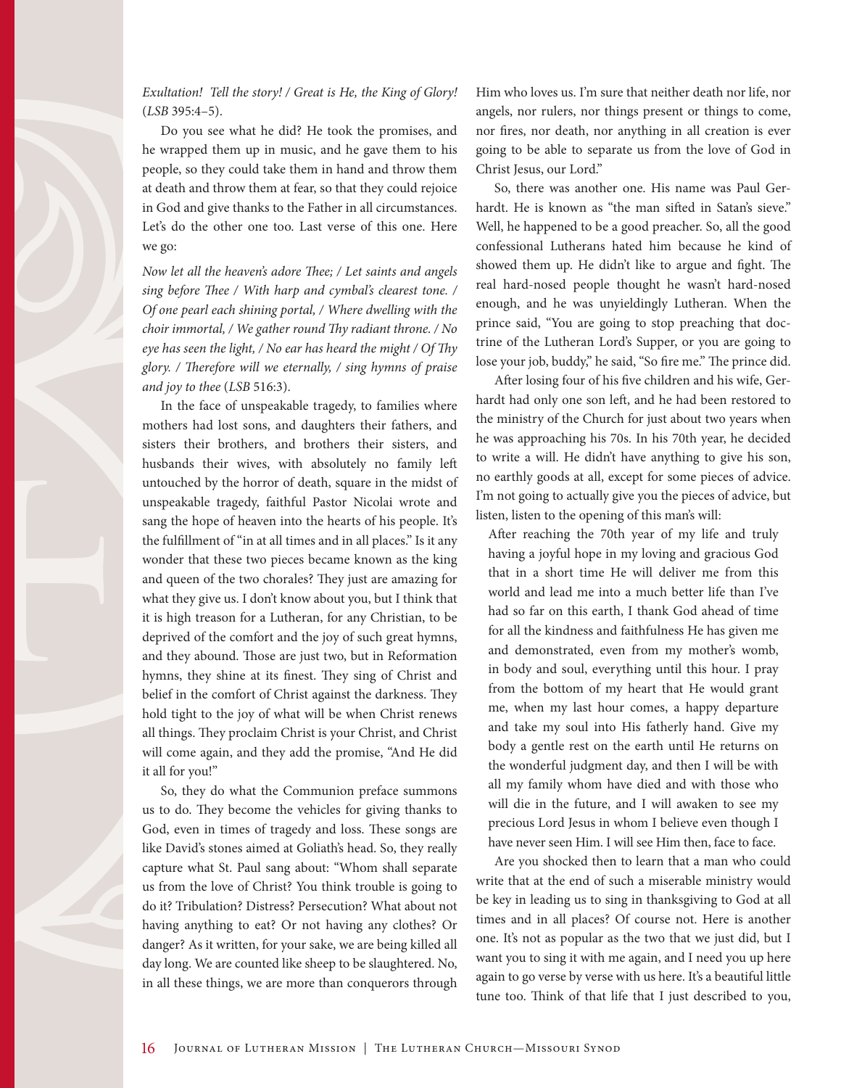## *Exultation! Tell the story! / Great is He, the King of Glory!*  (*LSB* 395:4–5).

Do you see what he did? He took the promises, and he wrapped them up in music, and he gave them to his people, so they could take them in hand and throw them at death and throw them at fear, so that they could rejoice in God and give thanks to the Father in all circumstances. Let's do the other one too. Last verse of this one. Here we go:

*Now let all the heaven's adore Thee; / Let saints and angels sing before Thee / With harp and cymbal's clearest tone. / Of one pearl each shining portal, / Where dwelling with the choir immortal, / We gather round Thy radiant throne. / No eye has seen the light, / No ear has heard the might / Of Thy glory. / Therefore will we eternally, / sing hymns of praise and joy to thee* (*LSB* 516:3).

In the face of unspeakable tragedy, to families where mothers had lost sons, and daughters their fathers, and sisters their brothers, and brothers their sisters, and husbands their wives, with absolutely no family left untouched by the horror of death, square in the midst of unspeakable tragedy, faithful Pastor Nicolai wrote and sang the hope of heaven into the hearts of his people. It's the fulfillment of "in at all times and in all places." Is it any wonder that these two pieces became known as the king and queen of the two chorales? They just are amazing for what they give us. I don't know about you, but I think that it is high treason for a Lutheran, for any Christian, to be deprived of the comfort and the joy of such great hymns, and they abound. Those are just two, but in Reformation hymns, they shine at its finest. They sing of Christ and belief in the comfort of Christ against the darkness. They hold tight to the joy of what will be when Christ renews all things. They proclaim Christ is your Christ, and Christ will come again, and they add the promise, "And He did it all for you!"

So, they do what the Communion preface summons us to do. They become the vehicles for giving thanks to God, even in times of tragedy and loss. These songs are like David's stones aimed at Goliath's head. So, they really capture what St. Paul sang about: "Whom shall separate us from the love of Christ? You think trouble is going to do it? Tribulation? Distress? Persecution? What about not having anything to eat? Or not having any clothes? Or danger? As it written, for your sake, we are being killed all day long. We are counted like sheep to be slaughtered. No, in all these things, we are more than conquerors through Him who loves us. I'm sure that neither death nor life, nor angels, nor rulers, nor things present or things to come, nor fires, nor death, nor anything in all creation is ever going to be able to separate us from the love of God in Christ Jesus, our Lord."

So, there was another one. His name was Paul Gerhardt. He is known as "the man sifted in Satan's sieve." Well, he happened to be a good preacher. So, all the good confessional Lutherans hated him because he kind of showed them up. He didn't like to argue and fight. The real hard-nosed people thought he wasn't hard-nosed enough, and he was unyieldingly Lutheran. When the prince said, "You are going to stop preaching that doctrine of the Lutheran Lord's Supper, or you are going to lose your job, buddy," he said, "So fire me." The prince did.

After losing four of his five children and his wife, Gerhardt had only one son left, and he had been restored to the ministry of the Church for just about two years when he was approaching his 70s. In his 70th year, he decided to write a will. He didn't have anything to give his son, no earthly goods at all, except for some pieces of advice. I'm not going to actually give you the pieces of advice, but listen, listen to the opening of this man's will:

After reaching the 70th year of my life and truly having a joyful hope in my loving and gracious God that in a short time He will deliver me from this world and lead me into a much better life than I've had so far on this earth, I thank God ahead of time for all the kindness and faithfulness He has given me and demonstrated, even from my mother's womb, in body and soul, everything until this hour. I pray from the bottom of my heart that He would grant me, when my last hour comes, a happy departure and take my soul into His fatherly hand. Give my body a gentle rest on the earth until He returns on the wonderful judgment day, and then I will be with all my family whom have died and with those who will die in the future, and I will awaken to see my precious Lord Jesus in whom I believe even though I have never seen Him. I will see Him then, face to face.

Are you shocked then to learn that a man who could write that at the end of such a miserable ministry would be key in leading us to sing in thanksgiving to God at all times and in all places? Of course not. Here is another one. It's not as popular as the two that we just did, but I want you to sing it with me again, and I need you up here again to go verse by verse with us here. It's a beautiful little tune too. Think of that life that I just described to you,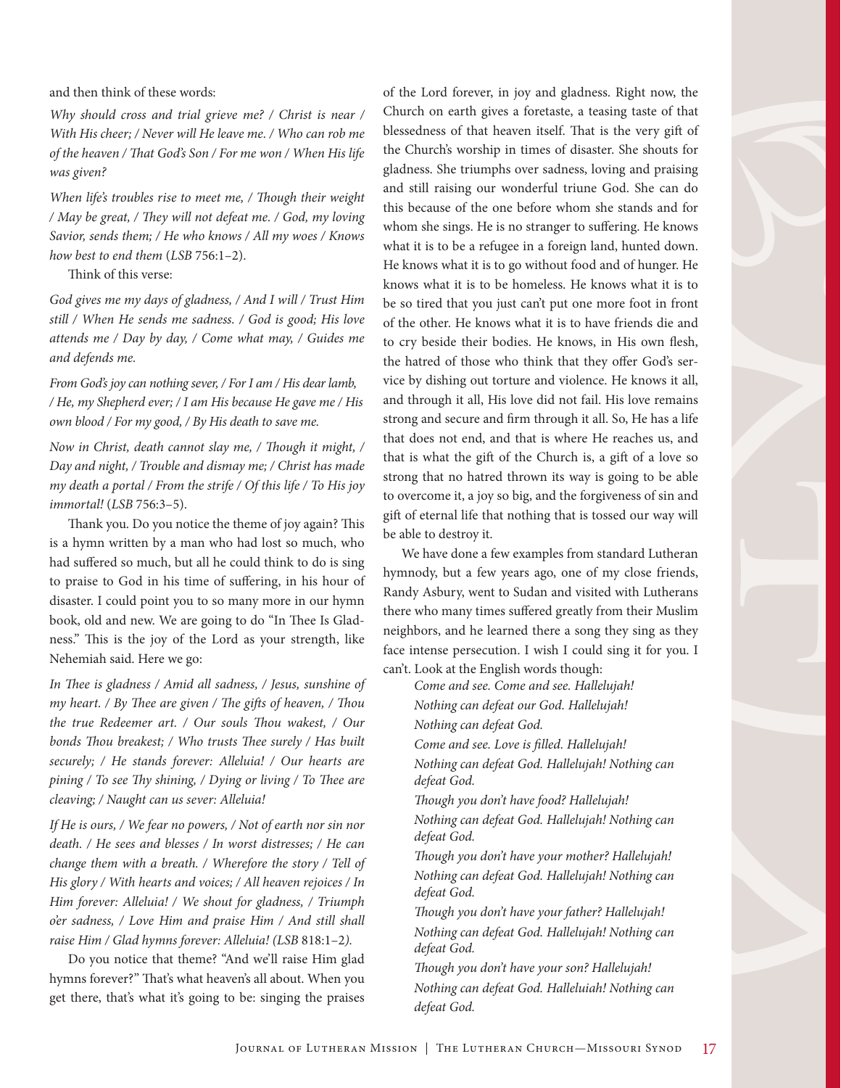and then think of these words:

*Why should cross and trial grieve me? / Christ is near / With His cheer; / Never will He leave me. / Who can rob me of the heaven / That God's Son / For me won / When His life was given?*

*When life's troubles rise to meet me, / Though their weight / May be great, / They will not defeat me. / God, my loving Savior, sends them; / He who knows / All my woes / Knows how best to end them* (*LSB* 756:1–2).

Think of this verse:

*God gives me my days of gladness, / And I will / Trust Him still / When He sends me sadness. / God is good; His love attends me / Day by day, / Come what may, / Guides me and defends me.*

*From God's joy can nothing sever, / For I am / His dear lamb, / He, my Shepherd ever; / I am His because He gave me / His own blood / For my good, / By His death to save me.*

*Now in Christ, death cannot slay me, / Though it might, / Day and night, / Trouble and dismay me; / Christ has made my death a portal / From the strife / Of this life / To His joy immortal!* (*LSB* 756:3–5).

Thank you. Do you notice the theme of joy again? This is a hymn written by a man who had lost so much, who had suffered so much, but all he could think to do is sing to praise to God in his time of suffering, in his hour of disaster. I could point you to so many more in our hymn book, old and new. We are going to do "In Thee Is Gladness." This is the joy of the Lord as your strength, like Nehemiah said. Here we go:

*In Thee is gladness / Amid all sadness, / Jesus, sunshine of my heart. / By Thee are given / The gifts of heaven, / Thou the true Redeemer art. / Our souls Thou wakest, / Our bonds Thou breakest; / Who trusts Thee surely / Has built securely; / He stands forever: Alleluia! / Our hearts are pining / To see Thy shining, / Dying or living / To Thee are cleaving; / Naught can us sever: Alleluia!*

*If He is ours, / We fear no powers, / Not of earth nor sin nor death. / He sees and blesses / In worst distresses; / He can change them with a breath. / Wherefore the story / Tell of His glory / With hearts and voices; / All heaven rejoices / In Him forever: Alleluia! / We shout for gladness, / Triumph o'er sadness, / Love Him and praise Him / And still shall raise Him / Glad hymns forever: Alleluia! (LSB* 818:1–2*).* 

Do you notice that theme? "And we'll raise Him glad hymns forever?" That's what heaven's all about. When you get there, that's what it's going to be: singing the praises of the Lord forever, in joy and gladness. Right now, the Church on earth gives a foretaste, a teasing taste of that blessedness of that heaven itself. That is the very gift of the Church's worship in times of disaster. She shouts for gladness. She triumphs over sadness, loving and praising and still raising our wonderful triune God. She can do this because of the one before whom she stands and for whom she sings. He is no stranger to suffering. He knows what it is to be a refugee in a foreign land, hunted down. He knows what it is to go without food and of hunger. He knows what it is to be homeless. He knows what it is to be so tired that you just can't put one more foot in front of the other. He knows what it is to have friends die and to cry beside their bodies. He knows, in His own flesh, the hatred of those who think that they offer God's service by dishing out torture and violence. He knows it all, and through it all, His love did not fail. His love remains strong and secure and firm through it all. So, He has a life that does not end, and that is where He reaches us, and that is what the gift of the Church is, a gift of a love so strong that no hatred thrown its way is going to be able to overcome it, a joy so big, and the forgiveness of sin and gift of eternal life that nothing that is tossed our way will be able to destroy it.

We have done a few examples from standard Lutheran hymnody, but a few years ago, one of my close friends, Randy Asbury, went to Sudan and visited with Lutherans there who many times suffered greatly from their Muslim neighbors, and he learned there a song they sing as they face intense persecution. I wish I could sing it for you. I can't. Look at the English words though:

*Come and see. Come and see. Hallelujah! Nothing can defeat our God. Hallelujah! Nothing can defeat God.* 

*Come and see. Love is filled. Hallelujah! Nothing can defeat God. Hallelujah! Nothing can defeat God.*

*Though you don't have food? Hallelujah! Nothing can defeat God. Hallelujah! Nothing can defeat God.*

*Though you don't have your mother? Hallelujah! Nothing can defeat God. Hallelujah! Nothing can defeat God.*

*Though you don't have your father? Hallelujah! Nothing can defeat God. Hallelujah! Nothing can defeat God.*

*Though you don't have your son? Hallelujah! Nothing can defeat God. Halleluiah! Nothing can defeat God.*